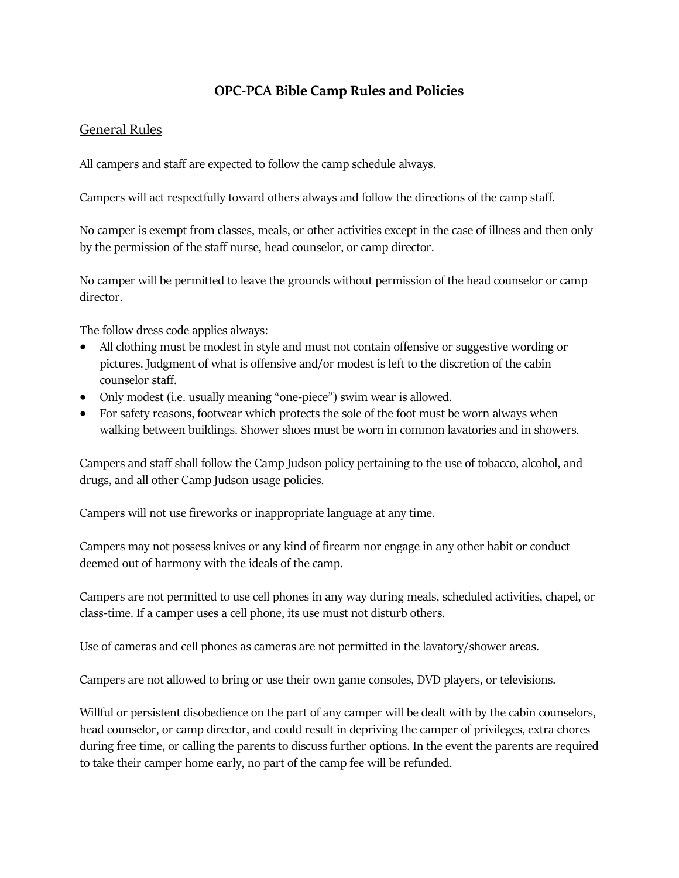# **OPC-PCA Bible Camp Rules and Policies**

## General Rules

All campers and staff are expected to follow the camp schedule always.

Campers will act respectfully toward others always and follow the directions of the camp staff.

No camper is exempt from classes, meals, or other activities except in the case of illness and then only by the permission of the staff nurse, head counselor, or camp director.

No camper will be permitted to leave the grounds without permission of the head counselor or camp director.

The follow dress code applies always:

- All clothing must be modest in style and must not contain offensive or suggestive wording or pictures. Judgment of what is offensive and/or modest is left to the discretion of the cabin counselor staff.
- Only modest (i.e. usually meaning "one-piece") swim wear is allowed.
- For safety reasons, footwear which protects the sole of the foot must be worn always when walking between buildings. Shower shoes must be worn in common lavatories and in showers.

Campers and staff shall follow the Camp Judson policy pertaining to the use of tobacco, alcohol, and drugs, and all other Camp Judson usage policies.

Campers will not use fireworks or inappropriate language at any time.

Campers may not possess knives or any kind of firearm nor engage in any other habit or conduct deemed out of harmony with the ideals of the camp.

Campers are not permitted to use cell phones in any way during meals, scheduled activities, chapel, or class-time. If a camper uses a cell phone, its use must not disturb others.

Use of cameras and cell phones as cameras are not permitted in the lavatory/shower areas.

Campers are not allowed to bring or use their own game consoles, DVD players, or televisions.

Willful or persistent disobedience on the part of any camper will be dealt with by the cabin counselors, head counselor, or camp director, and could result in depriving the camper of privileges, extra chores during free time, or calling the parents to discuss further options. In the event the parents are required to take their camper home early, no part of the camp fee will be refunded.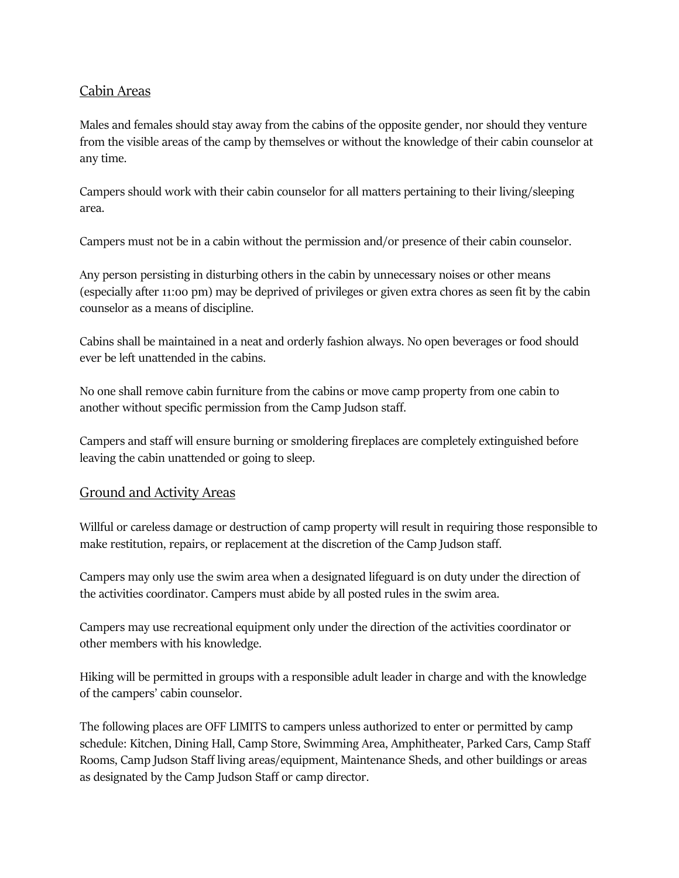### Cabin Areas

Males and females should stay away from the cabins of the opposite gender, nor should they venture from the visible areas of the camp by themselves or without the knowledge of their cabin counselor at any time.

Campers should work with their cabin counselor for all matters pertaining to their living/sleeping area.

Campers must not be in a cabin without the permission and/or presence of their cabin counselor.

Any person persisting in disturbing others in the cabin by unnecessary noises or other means (especially after 11:00 pm) may be deprived of privileges or given extra chores as seen fit by the cabin counselor as a means of discipline.

Cabins shall be maintained in a neat and orderly fashion always. No open beverages or food should ever be left unattended in the cabins.

No one shall remove cabin furniture from the cabins or move camp property from one cabin to another without specific permission from the Camp Judson staff.

Campers and staff will ensure burning or smoldering fireplaces are completely extinguished before leaving the cabin unattended or going to sleep.

#### Ground and Activity Areas

Willful or careless damage or destruction of camp property will result in requiring those responsible to make restitution, repairs, or replacement at the discretion of the Camp Judson staff.

Campers may only use the swim area when a designated lifeguard is on duty under the direction of the activities coordinator. Campers must abide by all posted rules in the swim area.

Campers may use recreational equipment only under the direction of the activities coordinator or other members with his knowledge.

Hiking will be permitted in groups with a responsible adult leader in charge and with the knowledge of the campers' cabin counselor.

The following places are OFF LIMITS to campers unless authorized to enter or permitted by camp schedule: Kitchen, Dining Hall, Camp Store, Swimming Area, Amphitheater, Parked Cars, Camp Staff Rooms, Camp Judson Staff living areas/equipment, Maintenance Sheds, and other buildings or areas as designated by the Camp Judson Staff or camp director.